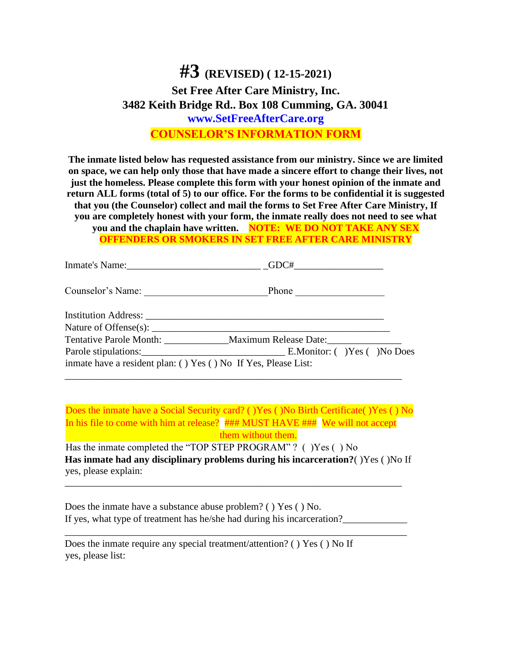## **#3 (REVISED) ( 12-15-2021) Set Free After Care Ministry, Inc. 3482 Keith Bridge Rd.. Box 108 Cumming, GA. 30041 www.SetFreeAfterCare.org COUNSELOR'S INFORMATION FORM**

**The inmate listed below has requested assistance from our ministry. Since we are limited on space, we can help only those that have made a sincere effort to change their lives, not just the homeless. Please complete this form with your honest opinion of the inmate and return ALL forms (total of 5) to our office. For the forms to be confidential it is suggested that you (the Counselor) collect and mail the forms to Set Free After Care Ministry, If you are completely honest with your form, the inmate really does not need to see what you and the chaplain have written. NOTE: WE DO NOT TAKE ANY SEX OFFENDERS OR SMOKERS IN SET FREE AFTER CARE MINISTRY**

|                                                                                                                | GDC#  |
|----------------------------------------------------------------------------------------------------------------|-------|
| Counselor's Name:                                                                                              | Phone |
| Institution Address: Lawrence and Contract and Contract of the Contract of the Contract of the Contract of the |       |
|                                                                                                                |       |
| Tentative Parole Month: __________________Maximum Release Date: ________________                               |       |
|                                                                                                                |       |
| inmate have a resident plan: () Yes () No If Yes, Please List:                                                 |       |

Does the inmate have a Social Security card? ( )Yes ( )No Birth Certificate( )Yes ( ) No In his file to come with him at release? ### MUST HAVE ### We will not accept

\_\_\_\_\_\_\_\_\_\_\_\_\_\_\_\_\_\_\_\_\_\_\_\_\_\_\_\_\_\_\_\_\_\_\_\_\_\_\_\_\_\_\_\_\_\_\_\_\_\_\_\_\_\_\_\_\_\_\_\_\_\_\_\_\_\_\_\_

them without them.

Has the inmate completed the "TOP STEP PROGRAM" ? () Yes () No **Has inmate had any disciplinary problems during his incarceration?**( )Yes ( )No If yes, please explain:

\_\_\_\_\_\_\_\_\_\_\_\_\_\_\_\_\_\_\_\_\_\_\_\_\_\_\_\_\_\_\_\_\_\_\_\_\_\_\_\_\_\_\_\_\_\_\_\_\_\_\_\_\_\_\_\_\_\_\_\_\_\_\_\_\_\_\_\_

\_\_\_\_\_\_\_\_\_\_\_\_\_\_\_\_\_\_\_\_\_\_\_\_\_\_\_\_\_\_\_\_\_\_\_\_\_\_\_\_\_\_\_\_\_\_\_\_\_\_\_\_\_\_\_\_\_\_\_\_\_\_\_\_\_\_\_\_\_

Does the inmate have a substance abuse problem? ( ) Yes ( ) No. If yes, what type of treatment has he/she had during his incarceration?

Does the inmate require any special treatment/attention? ( ) Yes ( ) No If yes, please list: